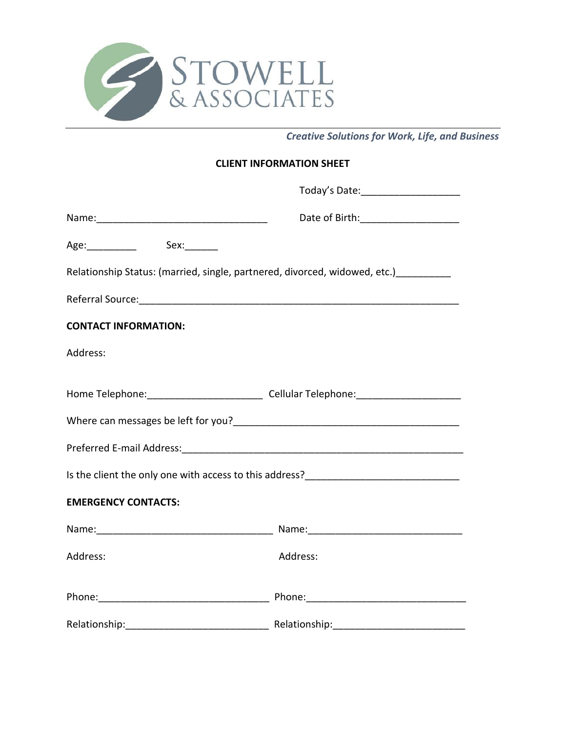

*Creative Solutions for Work, Life, and Business* 

## **CLIENT INFORMATION SHEET**

|                                                                                                      | Today's Date: _______________________ |  |  |  |
|------------------------------------------------------------------------------------------------------|---------------------------------------|--|--|--|
|                                                                                                      | Date of Birth: ______________________ |  |  |  |
| Age:_____________  Sex:_______                                                                       |                                       |  |  |  |
| Relationship Status: (married, single, partnered, divorced, widowed, etc.) __________                |                                       |  |  |  |
|                                                                                                      |                                       |  |  |  |
| <b>CONTACT INFORMATION:</b>                                                                          |                                       |  |  |  |
| Address:                                                                                             |                                       |  |  |  |
| Home Telephone: ___________________________________Cellular Telephone: _____________________________ |                                       |  |  |  |
|                                                                                                      |                                       |  |  |  |
|                                                                                                      |                                       |  |  |  |
|                                                                                                      |                                       |  |  |  |
| Is the client the only one with access to this address?__________________________                    |                                       |  |  |  |
| <b>EMERGENCY CONTACTS:</b>                                                                           |                                       |  |  |  |
|                                                                                                      |                                       |  |  |  |
| Address:                                                                                             | Address:                              |  |  |  |
|                                                                                                      |                                       |  |  |  |
| Relationship:                                                                                        |                                       |  |  |  |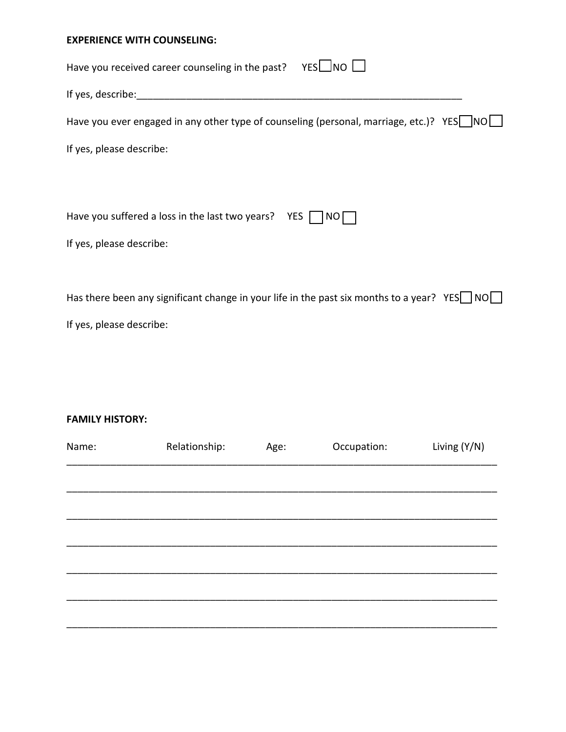### **EXPERIENCE WITH COUNSELING:**

| YESL_NO<br>Have you received career counseling in the past?                                               |
|-----------------------------------------------------------------------------------------------------------|
| If yes, describe:                                                                                         |
| Have you ever engaged in any other type of counseling (personal, marriage, etc.)? YES   NO                |
| If yes, please describe:                                                                                  |
|                                                                                                           |
|                                                                                                           |
| Have you suffered a loss in the last two years?<br>YES  <br>NO L                                          |
| If yes, please describe:                                                                                  |
|                                                                                                           |
| Has there been any significant change in your life in the past six months to a year? YES $\Box$ NO $\Box$ |
| If yes, please describe:                                                                                  |
|                                                                                                           |
|                                                                                                           |

# **FAMILY HISTORY:**

| Name: | Relationship: | Age: | Occupation: | Living (Y/N) |
|-------|---------------|------|-------------|--------------|
|       |               |      |             |              |
|       |               |      |             |              |
|       |               |      |             |              |
|       |               |      |             |              |
|       |               |      |             |              |
|       |               |      |             |              |
|       |               |      |             |              |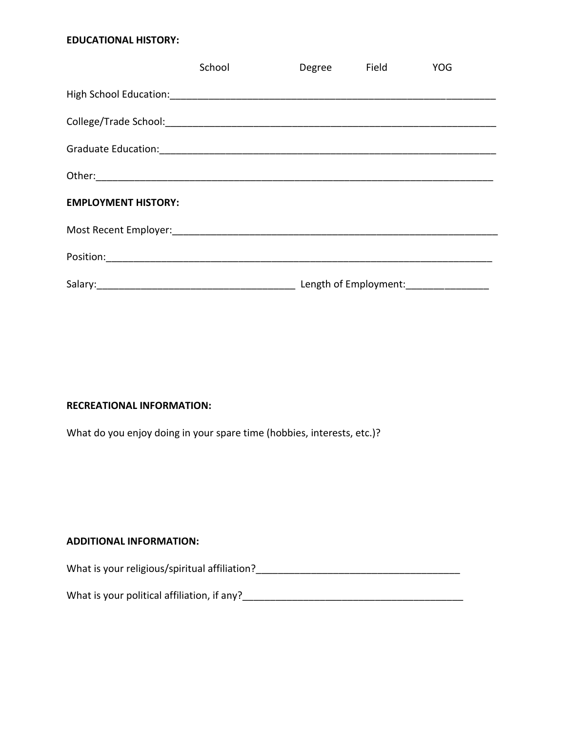# **EDUCATIONAL HISTORY:**

|                            | School | Degree Field | <b>YOG</b>            |  |
|----------------------------|--------|--------------|-----------------------|--|
|                            |        |              |                       |  |
|                            |        |              |                       |  |
|                            |        |              |                       |  |
|                            |        |              |                       |  |
| <b>EMPLOYMENT HISTORY:</b> |        |              |                       |  |
|                            |        |              |                       |  |
|                            |        |              |                       |  |
|                            |        |              | Length of Employment: |  |

#### **RECREATIONAL INFORMATION:**

What do you enjoy doing in your spare time (hobbies, interests, etc.)?

### **ADDITIONAL INFORMATION:**

What is your religious/spiritual affiliation?\_\_\_\_\_\_\_\_\_\_\_\_\_\_\_\_\_\_\_\_\_\_\_\_\_\_\_\_\_\_\_\_\_\_\_\_\_

What is your political affiliation, if any?<br>